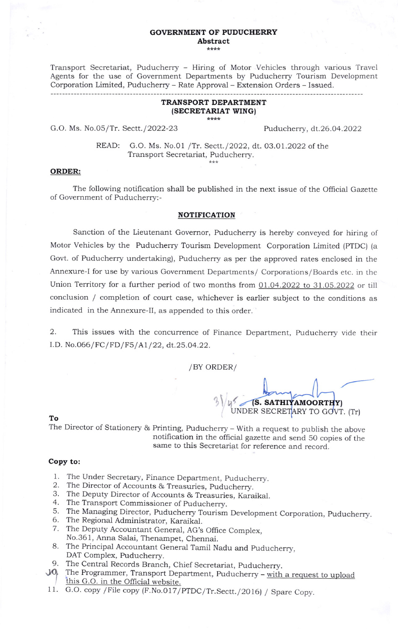#### GOVERNMENT OF PUDUCHERRY Abstract \*\*\*\*

Transport Secretariat, Puducherry - Hiring of Motor Vehicles through various Travel Agents for the use of Government Departments by Puducherry Tourism Development Corporation Limited, Puducherry - Rate Approva-l - Extension Orders - Issued.

### TRANSPORT DEPARTMENT (SECRETARIAT WINGI \*\*\*\*

G.O. Ms. No.05/Tr. Sectt./2022-23 Puducherry, dt.26.04.2022

READ: G.O. Ms. No.O1 /Tr. Sectt./2022, dt. O3.01.2022 of the Transport Secretariat, Puducherry.

# ORDER:

The following notification shall be published in the next issue of the Official Gazette of Government of Puducherry:-

### NOTIFICATION

Sanction of the Lieutenant Governor, Puducherry is hereby conveyed for hiring of Motor Vehicles by the Puducherry Tourism Development Corporation Limited (PTDC) (a Govt. of Puducherry undertaking), Puducherry as per the approved rates enclosed in the Annexure-l for use by various Government Departments/ Corporations/ Boards etc. in thc Union Territory for a further period of two months from 01.04.2022 to 31.05.2022 or till conclusion / completion of court case, whichever is earlier subject to the conditions as indicated in the Annexure-Il, as appended to this order.

2. This issues with the concurrence of Finance Department, Puducherry vide their I.D. No.066/FC/FD/F5/A1/22, dt.25.04.22.

/BY ORDER/

(S. SATHIYAMOORTHY) UNDER SECRETARY TO GOVT. (Tr)  $3\sqrt{2}$ 

#### To

The Director of Stationery & Printing, Puducherry - with a request to publish the above notification in the oflicial gazette and send 50 copies of the same to this Secretariat for reference and record.

## Copy to:

- l. The Under Secretary, Finance Department, puducherry.
- 2. The Director of Accounts & Treasuries, puducherry.
- J. The Deputy Director of Accounts & Treasuries, Karaikal.
- 4. The Transport Commissioner of Puducherry.
- 5. The Managing Director, Puducherry Tourism Development corporation, puducherry.
- 6. The Regional Administrator, Karaikal
- 7. The Deputy Accountant General, AG's Office Complex, No.361, Anna Salai, Thenampet, Chennai.
- 8. The Principal Accountant General Tamil Nadu and puducherry, DAT Complex, Puducherry.
- 9. The Central Records Branch, Chief Secretariat, puducherry.
- $10$ The Programmer, Transport Department, Puducherry –  $\frac{1}{2}$  with a request to upload this G.O. in the Official website this G.O. in the Official website.
- 11. G.O. copy / File copy (F.No.017/PTDC/Tr.Sectt./2016) / Spare Copy.